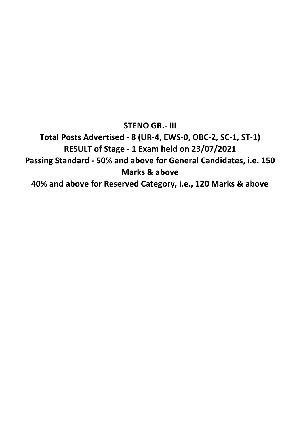**STENO GR.- III Total Posts Advertised - 8 (UR-4, EWS-0, OBC-2, SC-1, ST-1) RESULT of Stage - 1 Exam held on 23/07/2021 Passing Standard - 50% and above for General Candidates, i.e. 150 Marks & above 40% and above for Reserved Category, i.e., 120 Marks & above**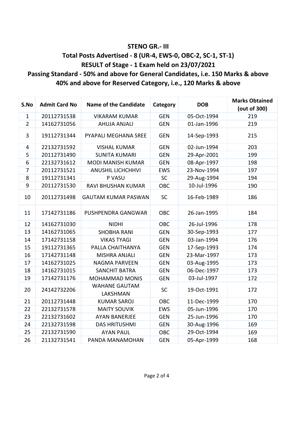### **STENO GR.- III**

## **Total Posts Advertised - 8 (UR-4, EWS-0, OBC-2, SC-1, ST-1) RESULT of Stage - 1 Exam held on 23/07/2021**

### **Passing Standard - 50% and above for General Candidates, i.e. 150 Marks & above 40% and above for Reserved Category, i.e., 120 Marks & above**

| S.No                           | <b>Admit Card No</b> | <b>Name of the Candidate</b>     | Category   | <b>DOB</b>  | <b>Marks Obtained</b> |
|--------------------------------|----------------------|----------------------------------|------------|-------------|-----------------------|
|                                |                      |                                  |            |             | (out of 300)<br>219   |
| $\mathbf{1}$<br>$\overline{2}$ | 20112731538          | <b>VIKARAM KUMAR</b>             | <b>GEN</b> | 05-Oct-1994 |                       |
|                                | 14162731056          | <b>AHUJA ANJALI</b>              | <b>GEN</b> | 01-Jan-1996 | 219                   |
| 3                              | 19112731344          | PYAPALI MEGHANA SREE             | <b>GEN</b> | 14-Sep-1993 | 215                   |
| 4                              | 22132731592          | <b>VISHAL KUMAR</b>              | <b>GEN</b> | 02-Jun-1994 | 203                   |
| 5                              | 20112731490          | <b>SUNITA KUMARI</b>             | <b>GEN</b> | 29-Apr-2001 | 199                   |
| 6                              | 22132731612          | <b>MODI MANISH KUMAR</b>         | <b>GEN</b> | 08-Apr-1997 | 198                   |
| $\overline{7}$                 | 20112731521          | <b>ANUSHIL LICHCHHVI</b>         | <b>EWS</b> | 23-Nov-1994 | 197                   |
| 8                              | 19112731341          | P VASU                           | <b>SC</b>  | 29-Aug-1994 | 194                   |
| 9                              | 20112731530          | RAVI BHUSHAN KUMAR               | OBC        | 10-Jul-1996 | 190                   |
| 10                             | 20112731498          | <b>GAUTAM KUMAR PASWAN</b>       | <b>SC</b>  | 16-Feb-1989 | 186                   |
| 11                             | 17142731186          | PUSHPENDRA GANGWAR               | OBC        | 26-Jan-1995 | 184                   |
| 12                             | 14162731030          | <b>NIDHI</b>                     | OBC        | 26-Jul-1996 | 178                   |
| 13                             | 14162731065          | <b>SHOBHA RANI</b>               | <b>GEN</b> | 30-Sep-1993 | 177                   |
| 14                             | 17142731158          | <b>VIKAS TYAGI</b>               | <b>GEN</b> | 03-Jan-1994 | 176                   |
| 15                             | 19112731365          | PALLA CHAITHANYA                 | <b>GEN</b> | 17-Sep-1993 | 174                   |
| 16                             | 17142731148          | <b>MISHRA ANJALI</b>             | <b>GEN</b> | 23-Mar-1997 | 173                   |
| 17                             | 14162731025          | NAGMA PARVEEN                    | <b>GEN</b> | 03-Aug-1995 | 173                   |
| 18                             | 14162731015          | <b>SANCHIT BATRA</b>             | <b>GEN</b> | 06-Dec-1997 | 173                   |
| 19                             | 17142731176          | <b>MOHAMMAD MONIS</b>            | <b>GEN</b> | 03-Jul-1997 | 172                   |
| 20                             | 24142732206          | <b>WAHANE GAUTAM</b><br>LAKSHMAN | SC         | 19-Oct-1991 | 172                   |
| 21                             | 20112731448          | <b>KUMAR SAROJ</b>               | OBC        | 11-Dec-1999 | 170                   |
| 22                             | 22132731578          | <b>MAITY SOUVIK</b>              | <b>EWS</b> | 05-Jun-1996 | 170                   |
| 23                             | 22132731602          | <b>AYAN BANERJEE</b>             | <b>GEN</b> | 25-Jun-1996 | 170                   |
| 24                             | 22132731598          | <b>DAS HRITUSHMI</b>             | <b>GEN</b> | 30-Aug-1996 | 169                   |
| 25                             | 22132731590          | <b>AYAN PAUL</b>                 | OBC        | 29-Oct-1994 | 169                   |
| 26                             | 21132731541          | PANDA MANAMOHAN                  | <b>GEN</b> | 05-Apr-1999 | 168                   |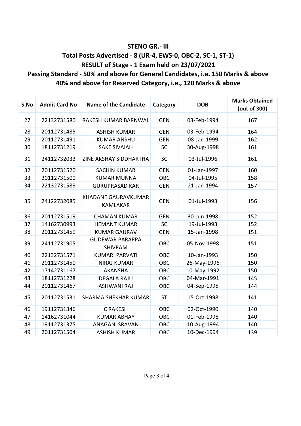#### **STENO GR.- III**

## **Total Posts Advertised - 8 (UR-4, EWS-0, OBC-2, SC-1, ST-1) RESULT of Stage - 1 Exam held on 23/07/2021**

## **Passing Standard - 50% and above for General Candidates, i.e. 150 Marks & above 40% and above for Reserved Category, i.e., 120 Marks & above**

| S.No | <b>Admit Card No</b> | <b>Name of the Candidate</b>                  | Category   | <b>DOB</b>  | <b>Marks Obtained</b><br>(out of 300) |
|------|----------------------|-----------------------------------------------|------------|-------------|---------------------------------------|
| 27   | 22132731580          | RAKESH KUMAR BARNWAL                          | <b>GEN</b> | 03-Feb-1994 | 167                                   |
| 28   | 20112731485          | <b>ASHISH KUMAR</b>                           | <b>GEN</b> | 03-Feb-1994 | 164                                   |
| 29   | 20112731491          | <b>KUMAR ANSHU</b>                            | <b>GEN</b> | 08-Jan-1999 | 162                                   |
| 30   | 18112731219          | <b>SAKE SIVAIAH</b>                           | SC         | 30-Aug-1998 | 161                                   |
| 31   | 24112732033          | ZINE AKSHAY SIDDHARTHA                        | <b>SC</b>  | 03-Jul-1996 | 161                                   |
| 32   | 20112731520          | <b>SACHIN KUMAR</b>                           | <b>GEN</b> | 01-Jan-1997 | 160                                   |
| 33   | 20112731500          | <b>KUMAR MUNNA</b>                            | OBC        | 04-Jul-1995 | 158                                   |
| 34   | 22132731589          | <b>GURUPRASAD KAR</b>                         | <b>GEN</b> | 21-Jan-1994 | 157                                   |
| 35   | 24122732085          | <b>KHADANE GAURAVKUMAR</b><br><b>KAMLAKAR</b> | <b>GEN</b> | 01-Jul-1993 | 156                                   |
| 36   | 20112731519          | <b>CHAMAN KUMAR</b>                           | <b>GEN</b> | 30-Jun-1998 | 152                                   |
| 37   | 14162730993          | <b>HEMANT KUMAR</b>                           | <b>SC</b>  | 19-Jul-1993 | 152                                   |
| 38   | 20112731459          | <b>KUMAR GAURAV</b>                           | <b>GEN</b> | 15-Jan-1998 | 151                                   |
| 39   | 24112731905          | <b>GUDEWAR PARAPPA</b><br><b>SHIVRAM</b>      | <b>OBC</b> | 05-Nov-1998 | 151                                   |
| 40   | 22132731571          | <b>KUMARI PARVATI</b>                         | <b>OBC</b> | 10-Jan-1993 | 150                                   |
| 41   | 20112731450          | <b>NIRAJ KUMAR</b>                            | OBC        | 26-May-1996 | 150                                   |
| 42   | 17142731167          | <b>AKANSHA</b>                                | OBC        | 10-May-1992 | 150                                   |
| 43   | 18112731228          | <b>DEGALA RAJU</b>                            | <b>OBC</b> | 04-Mar-1991 | 145                                   |
| 44   | 20112731467          | <b>ASHWANI RAJ</b>                            | OBC        | 04-Sep-1995 | 144                                   |
| 45   | 20112731531          | <b>SHARMA SHEKHAR KUMAR</b>                   | <b>ST</b>  | 15-Oct-1998 | 141                                   |
| 46   | 19112731346          | <b>C RAKESH</b>                               | OBC        | 02-Oct-1990 | 140                                   |
| 47   | 14162731044          | <b>KUMAR ABHAY</b>                            | OBC        | 01-Feb-1998 | 140                                   |
| 48   | 19112731375          | <b>ANAGANI SRAVAN</b>                         | OBC        | 10-Aug-1994 | 140                                   |
| 49   | 20112731504          | <b>ASHISH KUMAR</b>                           | <b>OBC</b> | 10-Dec-1994 | 139                                   |